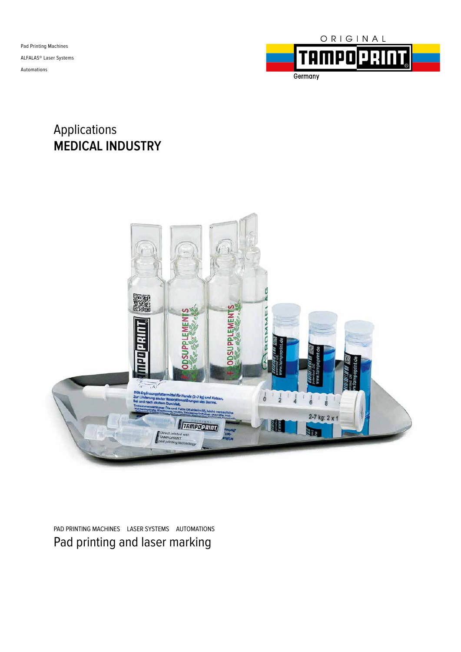

### Applications **MEDICAL INDUSTRY**



PAD PRINTING MACHINES LASER SYSTEMS AUTOMATIONS Pad printing and laser marking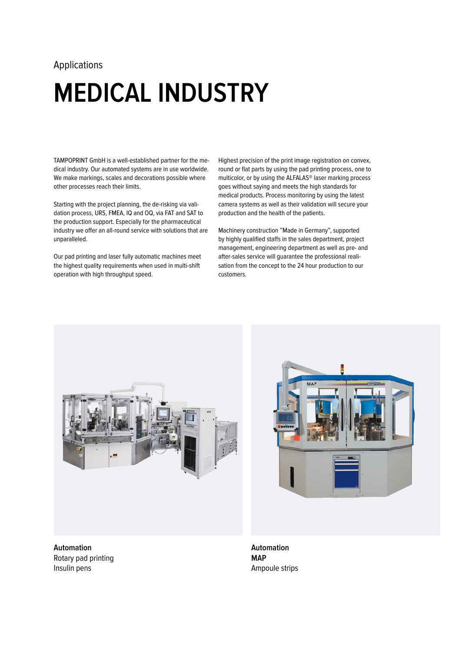## **MEDICAL INDUSTRY**

TAMPOPRINT GmbH is a well-established partner for the medical industry. Our automated systems are in use worldwide. We make markings, scales and decorations possible where other processes reach their limits.

Starting with the project planning, the de-risking via validation process, URS, FMEA, IQ and OQ, via FAT and SAT to the production support. Especially for the pharmaceutical industry we offer an all-round service with solutions that are unparalleled.

Our pad printing and laser fully automatic machines meet the highest quality requirements when used in multi-shift operation with high throughput speed.

Highest precision of the print image registration on convex, round or flat parts by using the pad printing process, one to multicolor, or by using the ALFALAS® laser marking process goes without saying and meets the high standards for medical products. Process monitoring by using the latest camera systems as well as their validation will secure your production and the health of the patients.

Machinery construction "Made in Germany", supported by highly qualified staffs in the sales department, project management, engineering department as well as pre- and after-sales service will guarantee the professional realisation from the concept to the 24 hour production to our customers.



**Automation**  Rotary pad printing Insulin pens



**Automation MAP**  Ampoule strips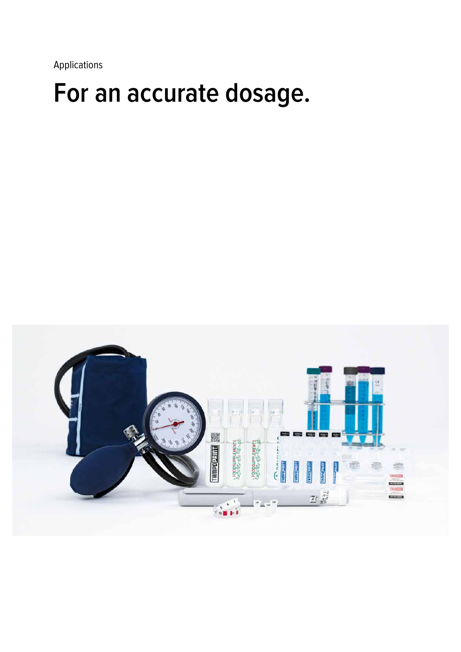### **For an accurate dosage.**

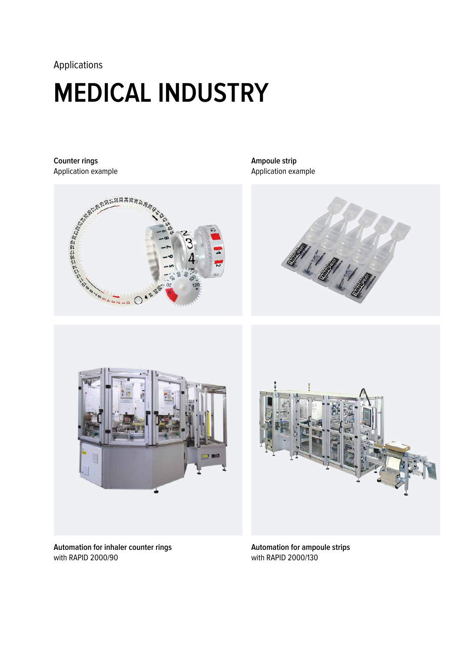# **MEDICAL INDUSTRY**

Application example



**Ampoule strip**  Application example





**Automation for inhaler counter rings** with RAPID 2000/90



**Automation for ampoule strips** with RAPID 2000/130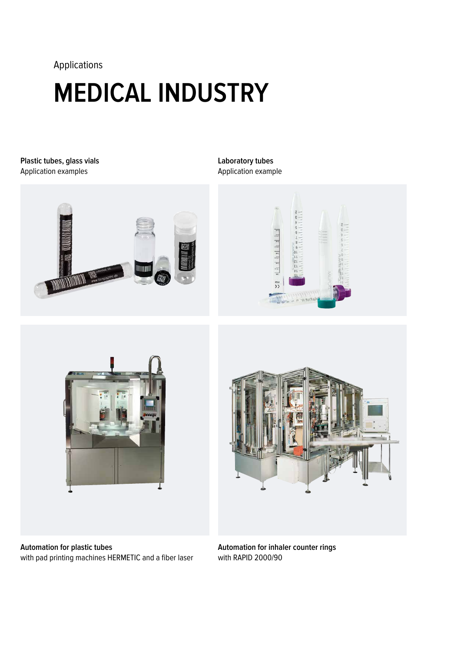# **MEDICAL INDUSTRY**

**Plastic tubes, glass vials** Application examples



#### **Laboratory tubes** Application example









**Automation for inhaler counter rings** with RAPID 2000/90